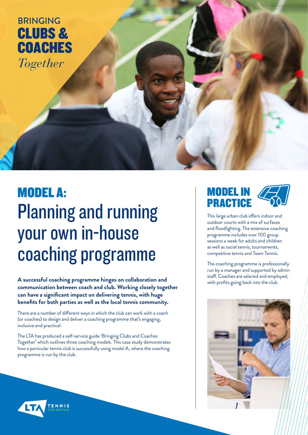

# MODEL A: Planning and running your own in-house coaching programme

**A successful coaching programme hinges on collaboration and communication between coach and club. Working closely together can have a significant impact on delivering tennis, with huge benefits for both parties as well as the local tennis community.** 

There are a number of different ways in which the club can work with a coach (or coaches) to design and deliver a coaching programme that's engaging, inclusive and practical.

The LTA has produced a self-service guide 'Bringing Clubs and Coaches Together' which outlines three coaching models. This case study demonstrates how a particular tennis club is successfully using model A, where the coaching programme is run by the club.

### MODEL IN PRACTICE

This large urban club offers indoor and outdoor courts with a mix of surfaces and floodlighting. The extensive coaching programme includes over 100 group sessions a week for adults and children as well as social tennis, tournaments, competitive tennis and Team Tennis.

The coaching programme is professionally run by a manager and supported by admin staff. Coaches are salaried and employed, with profits going back into the club.